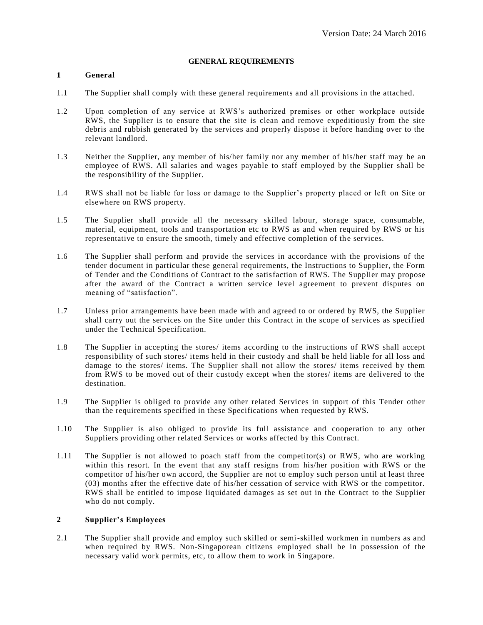## **GENERAL REQUIREMENTS**

# **1 General**

- 1.1 The Supplier shall comply with these general requirements and all provisions in the attached.
- 1.2 Upon completion of any service at RWS's authorized premises or other workplace outside RWS, the Supplier is to ensure that the site is clean and remove expeditiously from the site debris and rubbish generated by the services and properly dispose it before handing over to the relevant landlord.
- 1.3 Neither the Supplier, any member of his/her family nor any member of his/her staff may be an employee of RWS. All salaries and wages payable to staff employed by the Supplier shall be the responsibility of the Supplier.
- 1.4 RWS shall not be liable for loss or damage to the Supplier's property placed or left on Site or elsewhere on RWS property.
- 1.5 The Supplier shall provide all the necessary skilled labour, storage space, consumable, material, equipment, tools and transportation etc to RWS as and when required by RWS or his representative to ensure the smooth, timely and effective completion of the services.
- 1.6 The Supplier shall perform and provide the services in accordance with the provisions of the tender document in particular these general requirements, the Instructions to Supplier, the Form of Tender and the Conditions of Contract to the satisfaction of RWS. The Supplier may propose after the award of the Contract a written service level agreement to prevent disputes on meaning of "satisfaction".
- 1.7 Unless prior arrangements have been made with and agreed to or ordered by RWS, the Supplier shall carry out the services on the Site under this Contract in the scope of services as specified under the Technical Specification.
- 1.8 The Supplier in accepting the stores/ items according to the instructions of RWS shall accept responsibility of such stores/ items held in their custody and shall be held liable for all loss and damage to the stores/ items. The Supplier shall not allow the stores/ items received by them from RWS to be moved out of their custody except when the stores/ items are delivered to the destination.
- 1.9 The Supplier is obliged to provide any other related Services in support of this Tender other than the requirements specified in these Specifications when requested by RWS.
- 1.10 The Supplier is also obliged to provide its full assistance and cooperation to any other Suppliers providing other related Services or works affected by this Contract.
- 1.11 The Supplier is not allowed to poach staff from the competitor(s) or RWS, who are working within this resort. In the event that any staff resigns from his/her position with RWS or the competitor of his/her own accord, the Supplier are not to employ such person until at least three (03) months after the effective date of his/her cessation of service with RWS or the competitor. RWS shall be entitled to impose liquidated damages as set out in the Contract to the Supplier who do not comply.

#### **2 Supplier's Employees**

2.1 The Supplier shall provide and employ such skilled or semi-skilled workmen in numbers as and when required by RWS. Non-Singaporean citizens employed shall be in possession of the necessary valid work permits, etc, to allow them to work in Singapore.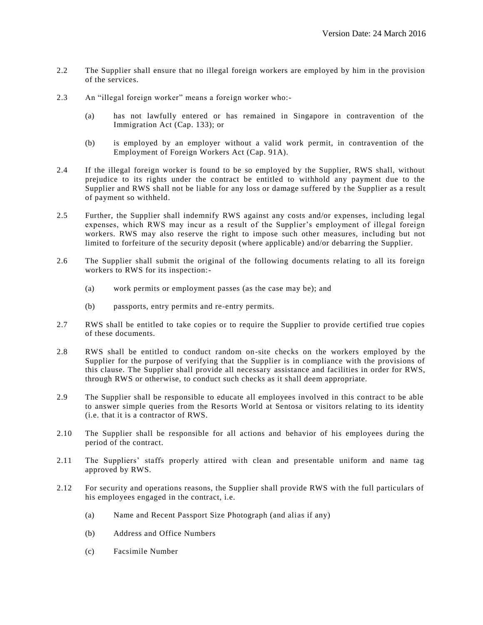- 2.2 The Supplier shall ensure that no illegal foreign workers are employed by him in the provision of the services.
- 2.3 An "illegal foreign worker" means a foreign worker who:-
	- (a) has not lawfully entered or has remained in Singapore in contravention of the Immigration Act (Cap. 133); or
	- (b) is employed by an employer without a valid work permit, in contravention of the Employment of Foreign Workers Act (Cap. 91A).
- 2.4 If the illegal foreign worker is found to be so employed by the Supplier, RWS shall, without prejudice to its rights under the contract be entitled to withhold any payment due to the Supplier and RWS shall not be liable for any loss or damage suffered by t he Supplier as a result of payment so withheld.
- 2.5 Further, the Supplier shall indemnify RWS against any costs and/or expenses, including legal expenses, which RWS may incur as a result of the Supplier's employment of illegal foreign workers. RWS may also reserve the right to impose such other measures, including but not limited to forfeiture of the security deposit (where applicable) and/or debarring the Supplier.
- 2.6 The Supplier shall submit the original of the following documents relating to all its foreign workers to RWS for its inspection:-
	- (a) work permits or employment passes (as the case may be); and
	- (b) passports, entry permits and re-entry permits.
- 2.7 RWS shall be entitled to take copies or to require the Supplier to provide certified true copies of these documents.
- 2.8 RWS shall be entitled to conduct random on-site checks on the workers employed by the Supplier for the purpose of verifying that the Supplier is in compliance with the provisions of this clause. The Supplier shall provide all necessary assistance and facilities in order for RWS, through RWS or otherwise, to conduct such checks as it shall deem appropriate.
- 2.9 The Supplier shall be responsible to educate all employees involved in this contract to be able to answer simple queries from the Resorts World at Sentosa or visitors relating to its identity (i.e. that it is a contractor of RWS.
- 2.10 The Supplier shall be responsible for all actions and behavior of his employees during the period of the contract.
- 2.11 The Suppliers' staffs properly attired with clean and presentable uniform and name tag approved by RWS.
- 2.12 For security and operations reasons, the Supplier shall provide RWS with the full particulars of his employees engaged in the contract, i.e.
	- (a) Name and Recent Passport Size Photograph (and alias if any)
	- (b) Address and Office Numbers
	- (c) Facsimile Number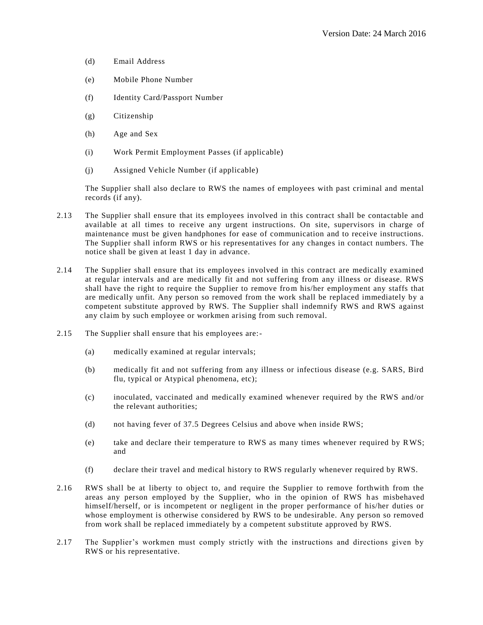- (d) Email Address
- (e) Mobile Phone Number
- (f) Identity Card/Passport Number
- (g) Citizenship
- (h) Age and Sex
- (i) Work Permit Employment Passes (if applicable)
- (j) Assigned Vehicle Number (if applicable)

The Supplier shall also declare to RWS the names of employees with past criminal and mental records (if any).

- 2.13 The Supplier shall ensure that its employees involved in this contract shall be contactable and available at all times to receive any urgent instructions. On site, supervisors in charge of maintenance must be given handphones for ease of communication and to receive instructions. The Supplier shall inform RWS or his representatives for any changes in contact numbers. The notice shall be given at least 1 day in advance.
- 2.14 The Supplier shall ensure that its employees involved in this contract are medically examined at regular intervals and are medically fit and not suffering from any illness or disease. RWS shall have the right to require the Supplier to remove from his/her employment any staffs that are medically unfit. Any person so removed from the work shall be replaced immediately by a competent substitute approved by RWS. The Supplier shall indemnify RWS and RWS against any claim by such employee or workmen arising from such removal.
- 2.15 The Supplier shall ensure that his employees are:-
	- (a) medically examined at regular intervals;
	- (b) medically fit and not suffering from any illness or infectious disease (e.g. SARS, Bird flu, typical or Atypical phenomena, etc);
	- (c) inoculated, vaccinated and medically examined whenever required by the RWS and/or the relevant authorities;
	- (d) not having fever of 37.5 Degrees Celsius and above when inside RWS;
	- (e) take and declare their temperature to RWS as many times whenever required by RWS; and
	- (f) declare their travel and medical history to RWS regularly whenever required by RWS.
- 2.16 RWS shall be at liberty to object to, and require the Supplier to remove forthwith from the areas any person employed by the Supplier, who in the opinion of RWS has misbehaved himself/herself, or is incompetent or negligent in the proper performance of his/her duties or whose employment is otherwise considered by RWS to be undesirable. Any person so removed from work shall be replaced immediately by a competent substitute approved by RWS.
- 2.17 The Supplier's workmen must comply strictly with the instructions and directions given by RWS or his representative.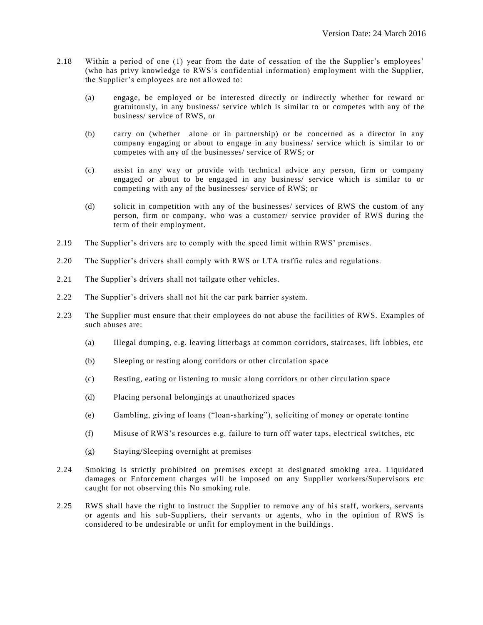- 2.18 Within a period of one (1) year from the date of cessation of the the Supplier's employees' (who has privy knowledge to RWS's confidential information) employment with the Supplier, the Supplier's employees are not allowed to:
	- (a) engage, be employed or be interested directly or indirectly whether for reward or gratuitously, in any business/ service which is similar to or competes with any of the business/ service of RWS, or
	- (b) carry on (whether alone or in partnership) or be concerned as a director in any company engaging or about to engage in any business/ service which is similar to or competes with any of the businesses/ service of RWS; or
	- (c) assist in any way or provide with technical advice any person, firm or company engaged or about to be engaged in any business/ service which is similar to or competing with any of the businesses/ service of RWS; or
	- (d) solicit in competition with any of the businesses/ services of RWS the custom of any person, firm or company, who was a customer/ service provider of RWS during the term of their employment.
- 2.19 The Supplier's drivers are to comply with the speed limit within RWS' premises.
- 2.20 The Supplier's drivers shall comply with RWS or LTA traffic rules and regulations.
- 2.21 The Supplier's drivers shall not tailgate other vehicles.
- 2.22 The Supplier's drivers shall not hit the car park barrier system.
- 2.23 The Supplier must ensure that their employees do not abuse the facilities of RWS. Examples of such abuses are:
	- (a) Illegal dumping, e.g. leaving litterbags at common corridors, staircases, lift lobbies, etc
	- (b) Sleeping or resting along corridors or other circulation space
	- (c) Resting, eating or listening to music along corridors or other circulation space
	- (d) Placing personal belongings at unauthorized spaces
	- (e) Gambling, giving of loans ("loan-sharking"), soliciting of money or operate tontine
	- (f) Misuse of RWS's resources e.g. failure to turn off water taps, electrical switches, etc
	- (g) Staying/Sleeping overnight at premises
- 2.24 Smoking is strictly prohibited on premises except at designated smoking area. Liquidated damages or Enforcement charges will be imposed on any Supplier workers/Supervisors etc caught for not observing this No smoking rule.
- 2.25 RWS shall have the right to instruct the Supplier to remove any of his staff, workers, servants or agents and his sub-Suppliers, their servants or agents, who in the opinion of RWS is considered to be undesirable or unfit for employment in the buildings.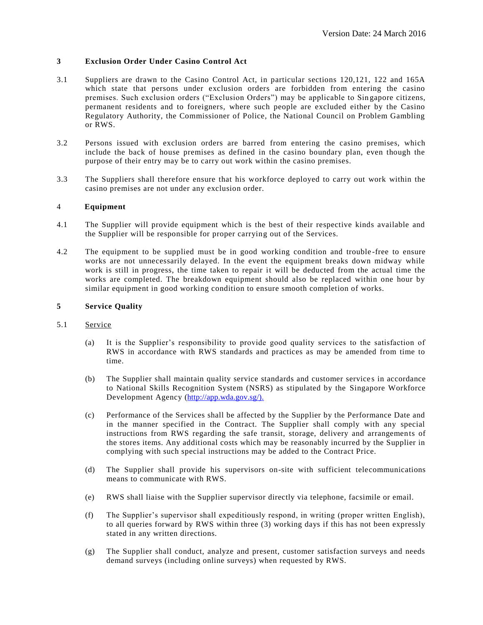## **3 Exclusion Order Under Casino Control Act**

- 3.1 Suppliers are drawn to the Casino Control Act, in particular sections 120,121, 122 and 165A which state that persons under exclusion orders are forbidden from entering the casino premises. Such exclusion orders ("Exclusion Orders") may be applicable to Sin gapore citizens, permanent residents and to foreigners, where such people are excluded either by the Casino Regulatory Authority, the Commissioner of Police, the National Council on Problem Gambling or RWS.
- 3.2 Persons issued with exclusion orders are barred from entering the casino premises, which include the back of house premises as defined in the casino boundary plan, even though the purpose of their entry may be to carry out work within the casino premises.
- 3.3 The Suppliers shall therefore ensure that his workforce deployed to carry out work within the casino premises are not under any exclusion order.

#### 4 **Equipment**

- 4.1 The Supplier will provide equipment which is the best of their respective kinds available and the Supplier will be responsible for proper carrying out of the Services.
- 4.2 The equipment to be supplied must be in good working condition and trouble-free to ensure works are not unnecessarily delayed. In the event the equipment breaks down midway while work is still in progress, the time taken to repair it will be deducted from the actual time the works are completed. The breakdown equipment should also be replaced within one hour by similar equipment in good working condition to ensure smooth completion of works.

#### **5 Service Quality**

- 5.1 Service
	- (a) It is the Supplier's responsibility to provide good quality services to the satisfaction of RWS in accordance with RWS standards and practices as may be amended from time to time.
	- (b) The Supplier shall maintain quality service standards and customer service s in accordance to National Skills Recognition System (NSRS) as stipulated by the Singapore Workforce Development Agency [\(http://app.wda.gov.sg/\).](http://app.wda.gov.sg/).)
	- (c) Performance of the Services shall be affected by the Supplier by the Performance Date and in the manner specified in the Contract. The Supplier shall comply with any special instructions from RWS regarding the safe transit, storage, delivery and arrangements of the stores items. Any additional costs which may be reasonably incurred by the Supplier in complying with such special instructions may be added to the Contract Price.
	- (d) The Supplier shall provide his supervisors on-site with sufficient telecommunications means to communicate with RWS.
	- (e) RWS shall liaise with the Supplier supervisor directly via telephone, facsimile or email.
	- (f) The Supplier's supervisor shall expeditiously respond, in writing (proper written English), to all queries forward by RWS within three (3) working days if this has not been expressly stated in any written directions.
	- (g) The Supplier shall conduct, analyze and present, customer satisfaction surveys and needs demand surveys (including online surveys) when requested by RWS.